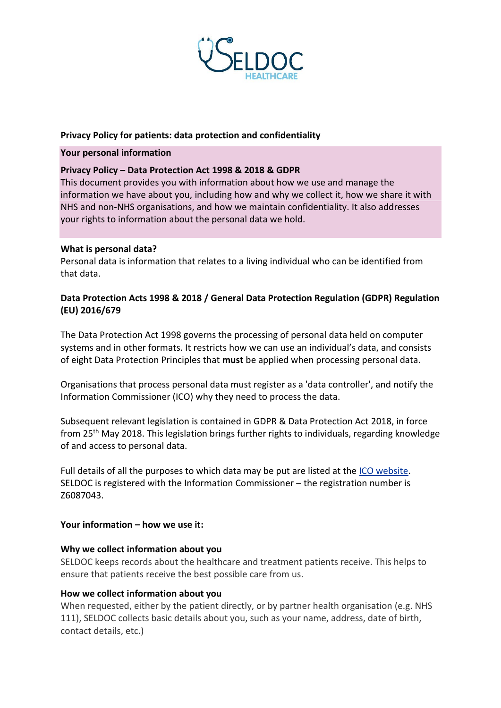

## **Privacy Policy for patients: data protection and confidentiality**

## **Your personal information**

# **Privacy Policy – Data Protection Act 1998 & 2018 & GDPR**

This document provides you with information about how we use and manage the information we have about you, including how and why we collect it, how we share it with NHS and non-NHS organisations, and how we maintain confidentiality. It also addresses your rights to information about the personal data we hold.

## **What is personal data?**

Personal data is information that relates to a living individual who can be identified from that data.

# **Data Protection Acts 1998 & 2018 / General Data Protection Regulation (GDPR) Regulation (EU) 2016/679**

The Data Protection Act 1998 governs the processing of personal data held on computer systems and in other formats. It restricts how we can use an individual's data, and consists of eight Data Protection Principles that **must** be applied when processing personal data.

Organisations that process personal data must register as a 'data controller', and notify the Information Commissioner (ICO) why they need to process the data.

Subsequent relevant legislation is contained in GDPR & Data Protection Act 2018, in force from 25th May 2018. This legislation brings further rights to individuals, regarding knowledge of and access to personal data.

Full details of all the purposes to which data may be put are listed at the [ICO website.](https://ico.org.uk/) SELDOC is registered with the Information Commissioner – the registration number is Z6087043.

## **Your information – how we use it:**

## **Why we collect information about you**

SELDOC keeps records about the healthcare and treatment patients receive. This helps to ensure that patients receive the best possible care from us.

## **How we collect information about you**

When requested, either by the patient directly, or by partner health organisation (e.g. NHS 111), SELDOC collects basic details about you, such as your name, address, date of birth, contact details, etc.)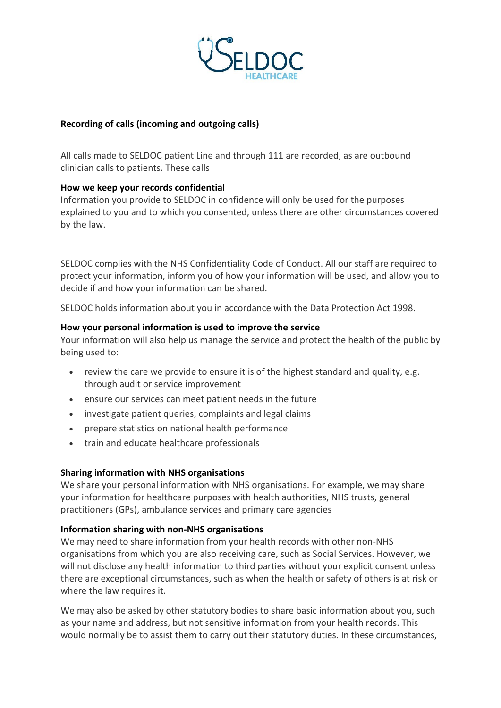

## **Recording of calls (incoming and outgoing calls)**

All calls made to SELDOC patient Line and through 111 are recorded, as are outbound clinician calls to patients. These calls

## **How we keep your records confidential**

Information you provide to SELDOC in confidence will only be used for the purposes explained to you and to which you consented, unless there are other circumstances covered by the law.

SELDOC complies with the NHS Confidentiality Code of Conduct. All our staff are required to protect your information, inform you of how your information will be used, and allow you to decide if and how your information can be shared.

SELDOC holds information about you in accordance with the Data Protection Act 1998.

## **How your personal information is used to improve the service**

Your information will also help us manage the service and protect the health of the public by being used to:

- review the care we provide to ensure it is of the highest standard and quality, e.g. through audit or service improvement
- ensure our services can meet patient needs in the future
- investigate patient queries, complaints and legal claims
- prepare statistics on national health performance
- train and educate healthcare professionals

## **Sharing information with NHS organisations**

We share your personal information with NHS organisations. For example, we may share your information for healthcare purposes with health authorities, NHS trusts, general practitioners (GPs), ambulance services and primary care agencies

## **Information sharing with non-NHS organisations**

We may need to share information from your health records with other non-NHS organisations from which you are also receiving care, such as Social Services. However, we will not disclose any health information to third parties without your explicit consent unless there are exceptional circumstances, such as when the health or safety of others is at risk or where the law requires it.

We may also be asked by other statutory bodies to share basic information about you, such as your name and address, but not sensitive information from your health records. This would normally be to assist them to carry out their statutory duties. In these circumstances,